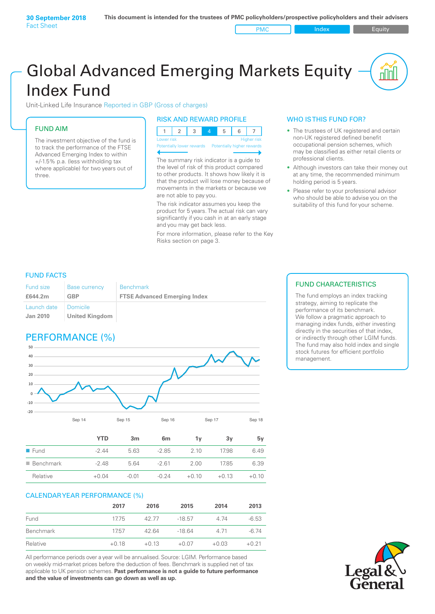PMC Index PMC Equity

# Global Advanced Emerging Markets Equity Index Fund

Unit-Linked Life Insurance Reported in GBP (Gross of charges)

### FUND AIM

The investment objective of the fund is to track the performance of the FTSE Advanced Emerging Index to within +/‑1.5% p.a. (less withholding tax where applicable) for two years out of three.

#### RISK AND REWARD PROFILE

| Lower risk |  |  | <b>Higher risk</b> |
|------------|--|--|--------------------|

ntially lower rewards

The summary risk indicator is a guide to the level of risk of this product compared to other products. It shows how likely it is that the product will lose money because of movements in the markets or because we are not able to pay you.

The risk indicator assumes you keep the product for 5 years. The actual risk can vary significantly if you cash in at an early stage and you may get back less.

For more information, please refer to the Key Risks section on page 3.

#### WHO IS THIS FUND FOR?

- The trustees of UK registered and certain non-UK registered defined benefit occupational pension schemes, which may be classified as either retail clients or professional clients.
- Although investors can take their money out at any time, the recommended minimum holding period is 5 years.
- Please refer to your professional advisor who should be able to advise you on the suitability of this fund for your scheme.

#### FUND FACTS

| <b>Fund size</b>               | <b>Base currency</b>              | <b>Benchmark</b>                    |
|--------------------------------|-----------------------------------|-------------------------------------|
| £644.2m                        | GBP                               | <b>FTSE Advanced Emerging Index</b> |
| Launch date<br><b>Jan 2010</b> | Domicile<br><b>United Kingdom</b> |                                     |

## PERFORMANCE (%)



|                          | YTD     | 3m      | 6 <sub>m</sub> | 1ν      | 3v      | 5ν      |
|--------------------------|---------|---------|----------------|---------|---------|---------|
| $\blacksquare$ Fund      | $-2.44$ | 5.63    | $-2.85$        | 2.10    | 17.98   | 6.49    |
| $\blacksquare$ Benchmark | $-2.48$ | 564     | $-261$         | 2.00    | 17.85   | 6.39    |
| Relative                 | $+0.04$ | $-0.01$ | $-0.24$        | $+0.10$ | $+0.13$ | $+0.10$ |

#### CALENDAR YEAR PERFORMANCE (%)

|           | 2017    | 2016    | 2015     | 2014    | 2013    |
|-----------|---------|---------|----------|---------|---------|
| Fund      | 17.75   | 42.77   | $-18.57$ | 4.74    | $-6.53$ |
| Benchmark | 1757    | 42.64   | $-1864$  | 4 7 1   | $-6.74$ |
| Relative  | $+0.18$ | $+0.13$ | $+0.07$  | $+0.03$ | $+0.21$ |

All performance periods over a year will be annualised. Source: LGIM. Performance based on weekly mid-market prices before the deduction of fees. Benchmark is supplied net of tax applicable to UK pension schemes. **Past performance is not a guide to future performance and the value of investments can go down as well as up.**

#### FUND CHARACTERISTICS

The fund employs an index tracking strategy, aiming to replicate the performance of its benchmark. We follow a pragmatic approach to managing index funds, either investing directly in the securities of that index, or indirectly through other LGIM funds. The fund may also hold index and single stock futures for efficient portfolio management.

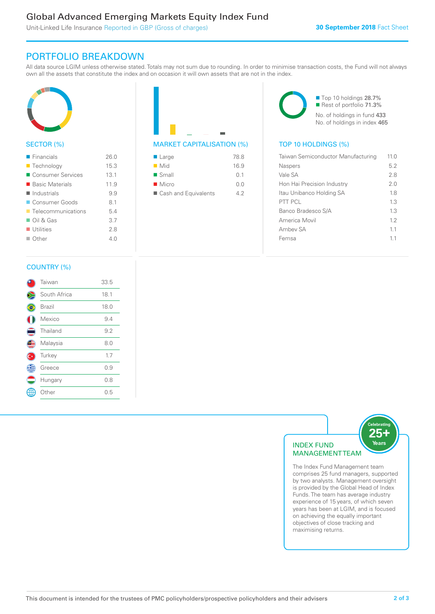### Global Advanced Emerging Markets Equity Index Fund

Unit-Linked Life Insurance Reported in GBP (Gross of charges)

### PORTFOLIO BREAKDOWN

All data source LGIM unless otherwise stated. Totals may not sum due to rounding. In order to minimise transaction costs, the Fund will not always own all the assets that constitute the index and on occasion it will own assets that are not in the index.



#### SECTOR (%)

| $\blacksquare$ Financials         | 26.0 |
|-----------------------------------|------|
| ■ Technology                      | 15.3 |
| ■ Consumer Services               | 13.1 |
| ■ Basic Materials                 | 119  |
| $\blacksquare$ Industrials        | 9.9  |
| Consumer Goods                    | 8.1  |
| $\blacksquare$ Telecommunications | 54   |
| $\Box$ Oil & Gas                  | 3.7  |
| $\blacksquare$ Utilities          | 28   |
| $\Box$ Other                      | 4 N  |
|                                   |      |



| $\blacksquare$ Large | 78.8 |
|----------------------|------|
| $\blacksquare$ Mid   | 16.9 |
| $\blacksquare$ Small | 0.1  |
| $\blacksquare$ Micro | 0.0  |
| Cash and Equivalents | 49   |

■ Top 10 holdings 28.7% Rest of portfolio 71.3% No. of holdings in fund 433 No. of holdings in index 465

| Taiwan Semiconductor Manufacturing | 11 O |
|------------------------------------|------|
| Naspers                            | 5.2  |
| Vale SA                            | 28   |
| Hon Hai Precision Industry         | 2.0  |
| Itau Unibanco Holding SA           | 18   |
| PTT PCL                            | 1.3  |
| Banco Bradesco S/A                 | 13   |
| America Movil                      | 12   |
| Ambey SA                           | 11   |
| Femsa                              | 11   |
|                                    |      |

#### COUNTRY (%)

|    | Taiwan       | 33.5 |  |
|----|--------------|------|--|
|    | South Africa | 18.1 |  |
|    | Brazil       | 18.0 |  |
|    | Mexico       | 9.4  |  |
|    | Thailand     | 9.2  |  |
|    | Malaysia     | 8.0  |  |
| С× | Turkey       | 1.7  |  |
| Œ  | Greece       | 0.9  |  |
|    | Hungary      | 0.8  |  |
|    | : Other      | 0.5  |  |
|    |              |      |  |



comprises 25 fund managers, supported by two analysts. Management oversight is provided by the Global Head of Index Funds. The team has average industry experience of 15 years, of which seven years has been at LGIM, and is focused on achieving the equally important objectives of close tracking and maximising returns.